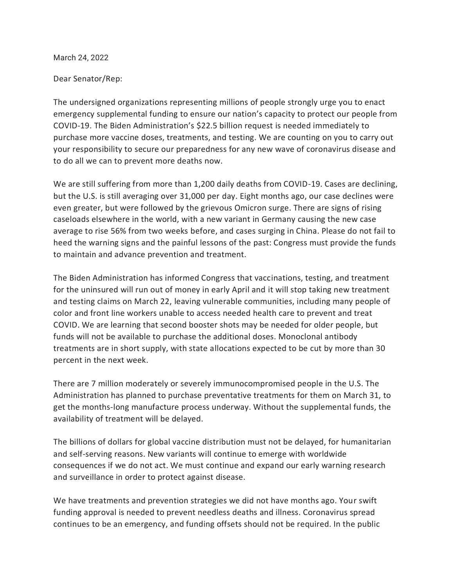March 24, 2022

## Dear Senator/Rep:

The undersigned organizations representing millions of people strongly urge you to enact emergency supplemental funding to ensure our nation's capacity to protect our people from COVID-19. The Biden Administration's \$22.5 billion request is needed immediately to purchase more vaccine doses, treatments, and testing. We are counting on you to carry out your responsibility to secure our preparedness for any new wave of coronavirus disease and to do all we can to prevent more deaths now.

We are still suffering from more than 1,200 daily deaths from COVID-19. Cases are declining, but the U.S. is still averaging over 31,000 per day. Eight months ago, our case declines were even greater, but were followed by the grievous Omicron surge. There are signs of rising caseloads elsewhere in the world, with a new variant in Germany causing the new case average to rise 56% from two weeks before, and cases surging in China. Please do not fail to heed the warning signs and the painful lessons of the past: Congress must provide the funds to maintain and advance prevention and treatment.

The Biden Administration has informed Congress that vaccinations, testing, and treatment for the uninsured will run out of money in early April and it will stop taking new treatment and testing claims on March 22, leaving vulnerable communities, including many people of color and front line workers unable to access needed health care to prevent and treat COVID. We are learning that second booster shots may be needed for older people, but funds will not be available to purchase the additional doses. Monoclonal antibody treatments are in short supply, with state allocations expected to be cut by more than 30 percent in the next week.

There are 7 million moderately or severely immunocompromised people in the U.S. The Administration has planned to purchase preventative treatments for them on March 31, to get the months-long manufacture process underway. Without the supplemental funds, the availability of treatment will be delayed.

The billions of dollars for global vaccine distribution must not be delayed, for humanitarian and self-serving reasons. New variants will continue to emerge with worldwide consequences if we do not act. We must continue and expand our early warning research and surveillance in order to protect against disease.

We have treatments and prevention strategies we did not have months ago. Your swift funding approval is needed to prevent needless deaths and illness. Coronavirus spread continues to be an emergency, and funding offsets should not be required. In the public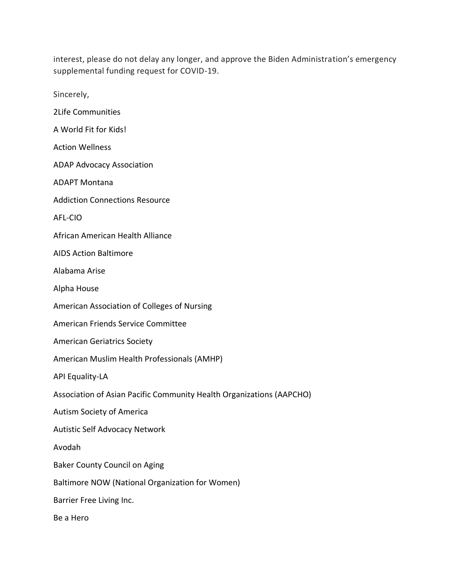interest, please do not delay any longer, and approve the Biden Administration's emergency supplemental funding request for COVID-19.

Sincerely,

2Life Communities

A World Fit for Kids!

Action Wellness

ADAP Advocacy Association

ADAPT Montana

Addiction Connections Resource

AFL-CIO

African American Health Alliance

AIDS Action Baltimore

Alabama Arise

Alpha House

American Association of Colleges of Nursing

American Friends Service Committee

American Geriatrics Society

American Muslim Health Professionals (AMHP)

API Equality-LA

Association of Asian Pacific Community Health Organizations (AAPCHO)

Autism Society of America

Autistic Self Advocacy Network

Avodah

Baker County Council on Aging

Baltimore NOW (National Organization for Women)

Barrier Free Living Inc.

Be a Hero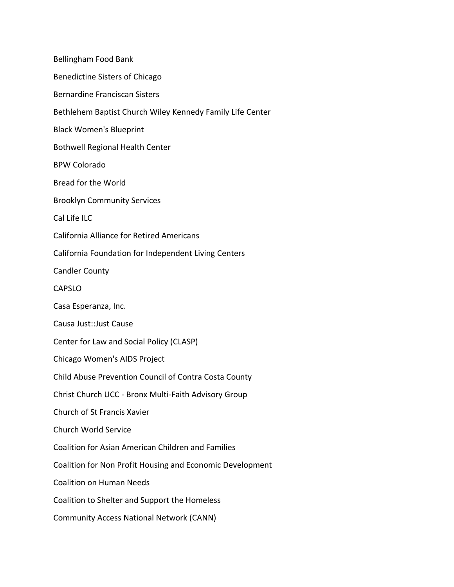Bellingham Food Bank Benedictine Sisters of Chicago Bernardine Franciscan Sisters Bethlehem Baptist Church Wiley Kennedy Family Life Center Black Women's Blueprint Bothwell Regional Health Center BPW Colorado Bread for the World Brooklyn Community Services Cal Life ILC California Alliance for Retired Americans California Foundation for Independent Living Centers Candler County CAPSLO Casa Esperanza, Inc. Causa Just::Just Cause Center for Law and Social Policy (CLASP) Chicago Women's AIDS Project Child Abuse Prevention Council of Contra Costa County Christ Church UCC - Bronx Multi-Faith Advisory Group Church of St Francis Xavier Church World Service Coalition for Asian American Children and Families Coalition for Non Profit Housing and Economic Development Coalition on Human Needs Coalition to Shelter and Support the Homeless Community Access National Network (CANN)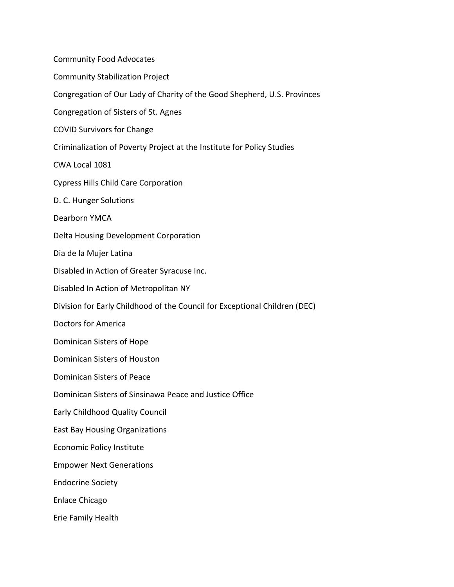Community Food Advocates Community Stabilization Project Congregation of Our Lady of Charity of the Good Shepherd, U.S. Provinces Congregation of Sisters of St. Agnes COVID Survivors for Change Criminalization of Poverty Project at the Institute for Policy Studies CWA Local 1081 Cypress Hills Child Care Corporation D. C. Hunger Solutions Dearborn YMCA Delta Housing Development Corporation Dia de la Mujer Latina Disabled in Action of Greater Syracuse Inc. Disabled In Action of Metropolitan NY Division for Early Childhood of the Council for Exceptional Children (DEC) Doctors for America Dominican Sisters of Hope Dominican Sisters of Houston Dominican Sisters of Peace Dominican Sisters of Sinsinawa Peace and Justice Office Early Childhood Quality Council East Bay Housing Organizations Economic Policy Institute Empower Next Generations Endocrine Society Enlace Chicago Erie Family Health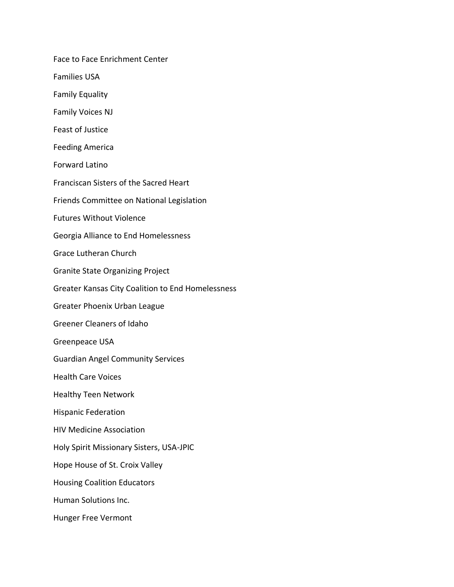Face to Face Enrichment Center Families USA Family Equality Family Voices NJ Feast of Justice Feeding America Forward Latino Franciscan Sisters of the Sacred Heart Friends Committee on National Legislation Futures Without Violence Georgia Alliance to End Homelessness Grace Lutheran Church Granite State Organizing Project Greater Kansas City Coalition to End Homelessness Greater Phoenix Urban League Greener Cleaners of Idaho Greenpeace USA Guardian Angel Community Services Health Care Voices Healthy Teen Network Hispanic Federation HIV Medicine Association Holy Spirit Missionary Sisters, USA-JPIC Hope House of St. Croix Valley Housing Coalition Educators Human Solutions Inc. Hunger Free Vermont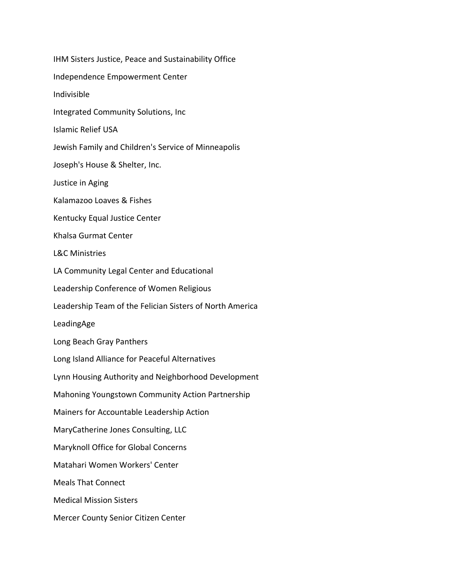IHM Sisters Justice, Peace and Sustainability Office Independence Empowerment Center Indivisible Integrated Community Solutions, Inc Islamic Relief USA Jewish Family and Children's Service of Minneapolis Joseph's House & Shelter, Inc. Justice in Aging Kalamazoo Loaves & Fishes Kentucky Equal Justice Center Khalsa Gurmat Center L&C Ministries LA Community Legal Center and Educational Leadership Conference of Women Religious Leadership Team of the Felician Sisters of North America LeadingAge Long Beach Gray Panthers Long Island Alliance for Peaceful Alternatives Lynn Housing Authority and Neighborhood Development Mahoning Youngstown Community Action Partnership Mainers for Accountable Leadership Action MaryCatherine Jones Consulting, LLC Maryknoll Office for Global Concerns Matahari Women Workers' Center Meals That Connect Medical Mission Sisters Mercer County Senior Citizen Center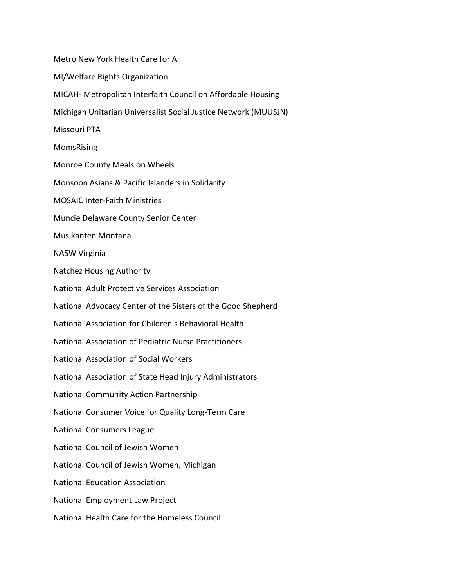Metro New York Health Care for All MI/Welfare Rights Organization MICAH- Metropolitan Interfaith Council on Affordable Housing Michigan Unitarian Universalist Social Justice Network (MUUSJN) Missouri PTA MomsRising Monroe County Meals on Wheels Monsoon Asians & Pacific Islanders in Solidarity MOSAIC Inter-Faith Ministries Muncie Delaware County Senior Center Musikanten Montana NASW Virginia Natchez Housing Authority National Adult Protective Services Association National Advocacy Center of the Sisters of the Good Shepherd National Association for Children's Behavioral Health National Association of Pediatric Nurse Practitioners National Association of Social Workers National Association of State Head Injury Administrators National Community Action Partnership National Consumer Voice for Quality Long-Term Care National Consumers League National Council of Jewish Women National Council of Jewish Women, Michigan National Education Association National Employment Law Project National Health Care for the Homeless Council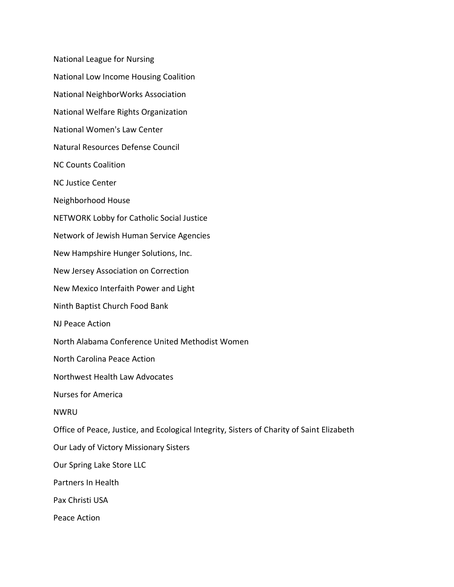National League for Nursing National Low Income Housing Coalition National NeighborWorks Association National Welfare Rights Organization National Women's Law Center Natural Resources Defense Council NC Counts Coalition NC Justice Center Neighborhood House NETWORK Lobby for Catholic Social Justice Network of Jewish Human Service Agencies New Hampshire Hunger Solutions, Inc. New Jersey Association on Correction New Mexico Interfaith Power and Light Ninth Baptist Church Food Bank NJ Peace Action North Alabama Conference United Methodist Women North Carolina Peace Action Northwest Health Law Advocates Nurses for America NWRU Office of Peace, Justice, and Ecological Integrity, Sisters of Charity of Saint Elizabeth Our Lady of Victory Missionary Sisters Our Spring Lake Store LLC Partners In Health Pax Christi USA Peace Action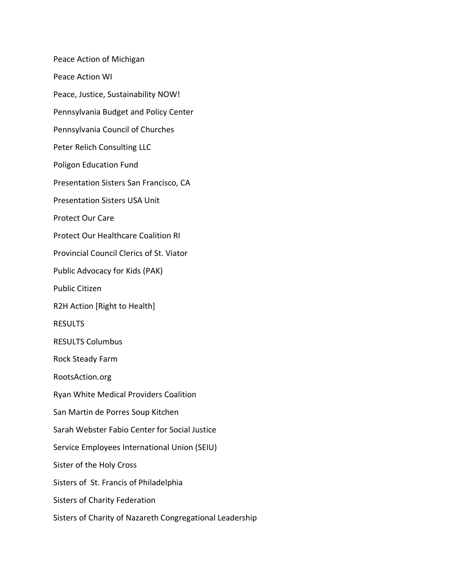Peace Action of Michigan Peace Action WI Peace, Justice, Sustainability NOW! Pennsylvania Budget and Policy Center Pennsylvania Council of Churches Peter Relich Consulting LLC Poligon Education Fund Presentation Sisters San Francisco, CA Presentation Sisters USA Unit Protect Our Care Protect Our Healthcare Coalition RI Provincial Council Clerics of St. Viator Public Advocacy for Kids (PAK) Public Citizen R2H Action [Right to Health] RESULTS RESULTS Columbus Rock Steady Farm RootsAction.org Ryan White Medical Providers Coalition San Martin de Porres Soup Kitchen Sarah Webster Fabio Center for Social Justice Service Employees International Union (SEIU) Sister of the Holy Cross Sisters of St. Francis of Philadelphia Sisters of Charity Federation Sisters of Charity of Nazareth Congregational Leadership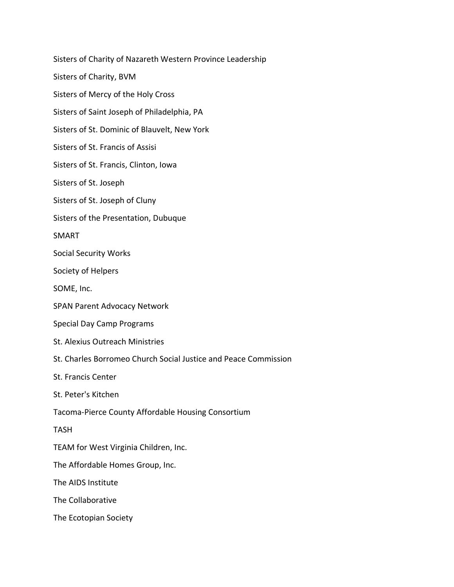Sisters of Charity of Nazareth Western Province Leadership Sisters of Charity, BVM Sisters of Mercy of the Holy Cross Sisters of Saint Joseph of Philadelphia, PA Sisters of St. Dominic of Blauvelt, New York Sisters of St. Francis of Assisi Sisters of St. Francis, Clinton, Iowa Sisters of St. Joseph Sisters of St. Joseph of Cluny Sisters of the Presentation, Dubuque SMART Social Security Works Society of Helpers SOME, Inc. SPAN Parent Advocacy Network Special Day Camp Programs St. Alexius Outreach Ministries St. Charles Borromeo Church Social Justice and Peace Commission St. Francis Center St. Peter's Kitchen Tacoma-Pierce County Affordable Housing Consortium TASH TEAM for West Virginia Children, Inc. The Affordable Homes Group, Inc. The AIDS Institute The Collaborative The Ecotopian Society